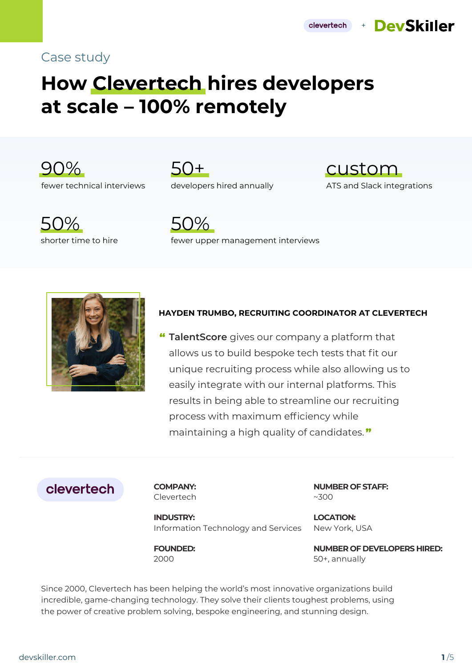# Case study

# **How Clevertech hires developers at scale – 100% remotely**



50+ developers hired annually



clevertech

+ DevSkiller





fewer upper management interviews



#### **HAYDEN TRUMBO, RECRUITING COORDINATOR AT CLEVERTECH**

" **TalentScore** gives our company a platform that allows us to build bespoke tech tests that fit our unique recruiting process while also allowing us to easily integrate with our internal platforms. This results in being able to streamline our recruiting process with maximum efficiency while maintaining a high quality of candidates. "

# clevertech

**COMPANY:** Clevertech **NUMBER OF STAFF:** ~300

**INDUSTRY:** Information Technology and Services

**FOUNDED:** 2000

**LOCATION:** New York, USA

**NUMBER OF DEVELOPERS HIRED:**  50+, annually

Since 2000, Clevertech has been helping the world's most innovative organizations build incredible, game-changing technology. They solve their clients toughest problems, using the power of creative problem solving, bespoke engineering, and stunning design.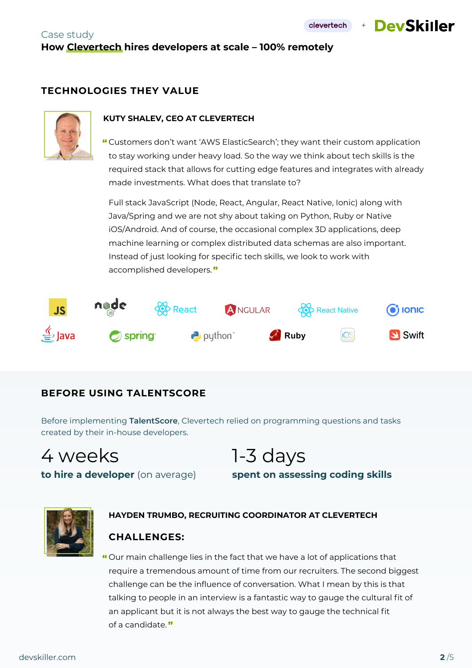+ DevSkiller

## Case study **How Clevertech hires developers at scale – 100% remotely**

#### **TECHNOLOGIES THEY VALUE**



#### **KUTY SHALEV, CEO AT CLEVERTECH**

Customers don't want 'AWS ElasticSearch'; they want their custom application " to stay working under heavy load. So the way we think about tech skills is the required stack that allows for cutting edge features and integrates with already made investments. What does that translate to?

Full stack JavaScript (Node, React, Angular, React Native, Ionic) along with Java/Spring and we are not shy about taking on Python, Ruby or Native iOS/Android. And of course, the occasional complex 3D applications, deep machine learning or complex distributed data schemas are also important. Instead of just looking for specific tech skills, we look to work with accomplished developers."



#### **BEFORE USING TALENTSCORE**

Before implementing **TalentScore**, Clevertech relied on programming questions and tasks created by their in-house developers.

4 weeks

1-3 days **spent on assessing coding skills**

**to hire a developer** (on average)



#### **HAYDEN TRUMBO, RECRUITING COORDINATOR AT CLEVERTECH**

#### **CHALLENGES:**

Our main challenge lies in the fact that we have a lot of applications that "require a tremendous amount of time from our recruiters. The second biggest challenge can be the influence of conversation. What I mean by this is that talking to people in an interview is a fantastic way to gauge the cultural fit of an applicant but it is not always the best way to gauge the technical fit of a candidate."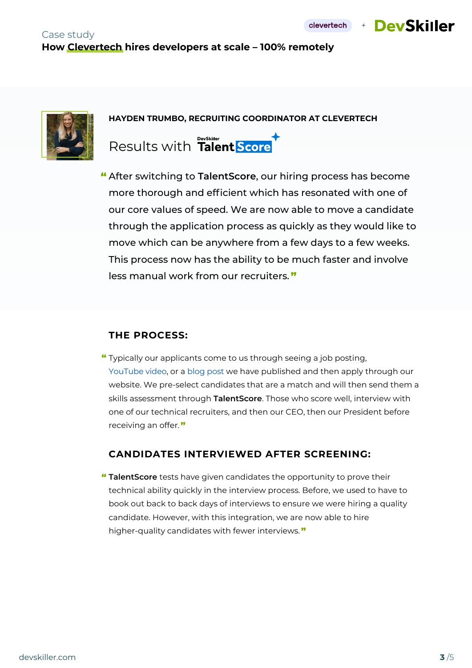+ DevSkiller



**HAYDEN TRUMBO, RECRUITING COORDINATOR AT CLEVERTECH**

Results with Talent Score

After switching to **TalentScore**, our hiring process has become " more thorough and efficient which has resonated with one of our core values of speed. We are now able to move a candidate through the application process as quickly as they would like to move which can be anywhere from a few days to a few weeks. This process now has the ability to be much faster and involve less manual work from our recruiters. "

#### **THE PROCESS:**

Typically our applicants come to us through seeing a job posting, " YouTube video, or a blog post we have published and then apply through our website. We pre-select candidates that are a match and will then send them a skills assessment through **TalentScore**. Those who score well, interview with one of our technical recruiters, and then our CEO, then our President before receiving an offer."

#### **CANDIDATES INTERVIEWED AFTER SCREENING:**

**TalentScore** tests have given candidates the opportunity to prove their " technical ability quickly in the interview process. Before, we used to have to book out back to back days of interviews to ensure we were hiring a quality candidate. However, with this integration, we are now able to hire higher-quality candidates with fewer interviews."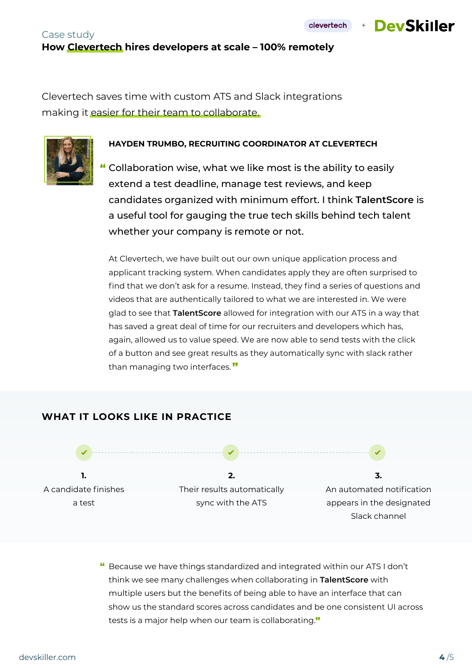#### Case study **How Clevertech hires developers at scale – 100% remotely**

Clevertech saves time with custom ATS and Slack integrations making it easier for their team to collaborate.

#### **HAYDEN TRUMBO, RECRUITING COORDINATOR AT CLEVERTECH**

Collaboration wise, what we like most is the ability to easily " extend a test deadline, manage test reviews, and keep candidates organized with minimum effort. I think **TalentScore** is a useful tool for gauging the true tech skills behind tech talent whether your company is remote or not.

At Clevertech, we have built out our own unique application process and applicant tracking system. When candidates apply they are often surprised to find that we don't ask for a resume. Instead, they find a series of questions and videos that are authentically tailored to what we are interested in. We were glad to see that **TalentScore** allowed for integration with our ATS in a way that has saved a great deal of time for our recruiters and developers which has, again, allowed us to value speed. We are now able to send tests with the click of a button and see great results as they automatically sync with slack rather than managing two interfaces."

## **WHAT IT LOOKS LIKE IN PRACTICE**



 $\textbf{\textit{``}}$  Because we have things standardized and integrated within our ATS I don't think we see many challenges when collaborating in **TalentScore** with multiple users but the benefits of being able to have an interface that can show us the standard scores across candidates and be one consistent UI across tests is a major help when our team is collaborating."

Slack channel



clevertech